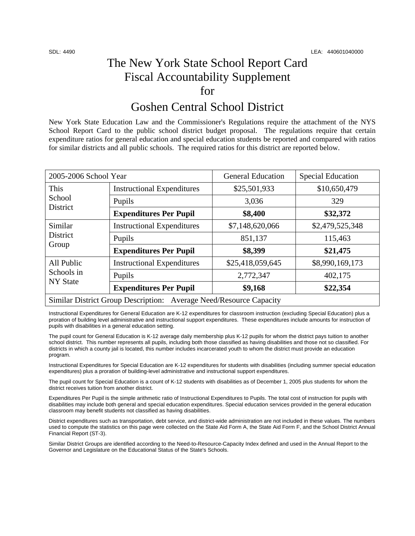## The New York State School Report Card Fiscal Accountability Supplement for

### Goshen Central School District

New York State Education Law and the Commissioner's Regulations require the attachment of the NYS School Report Card to the public school district budget proposal. The regulations require that certain expenditure ratios for general education and special education students be reported and compared with ratios for similar districts and all public schools. The required ratios for this district are reported below.

| 2005-2006 School Year                                              |                                   | <b>General Education</b> | <b>Special Education</b> |  |
|--------------------------------------------------------------------|-----------------------------------|--------------------------|--------------------------|--|
| This<br>School<br>District                                         | <b>Instructional Expenditures</b> | \$25,501,933             | \$10,650,479             |  |
|                                                                    | Pupils                            | 3,036                    | 329                      |  |
|                                                                    | <b>Expenditures Per Pupil</b>     | \$8,400                  | \$32,372                 |  |
| Similar<br>District<br>Group                                       | <b>Instructional Expenditures</b> | \$7,148,620,066          | \$2,479,525,348          |  |
|                                                                    | Pupils                            | 851,137                  | 115,463                  |  |
|                                                                    | <b>Expenditures Per Pupil</b>     | \$8,399                  | \$21,475                 |  |
| All Public<br>Schools in<br><b>NY State</b>                        | <b>Instructional Expenditures</b> | \$25,418,059,645         | \$8,990,169,173          |  |
|                                                                    | Pupils                            | 2,772,347                | 402,175                  |  |
|                                                                    | <b>Expenditures Per Pupil</b>     | \$9,168                  | \$22,354                 |  |
| Similar District Group Description: Average Need/Resource Capacity |                                   |                          |                          |  |

Instructional Expenditures for General Education are K-12 expenditures for classroom instruction (excluding Special Education) plus a proration of building level administrative and instructional support expenditures. These expenditures include amounts for instruction of pupils with disabilities in a general education setting.

The pupil count for General Education is K-12 average daily membership plus K-12 pupils for whom the district pays tuition to another school district. This number represents all pupils, including both those classified as having disabilities and those not so classified. For districts in which a county jail is located, this number includes incarcerated youth to whom the district must provide an education program.

Instructional Expenditures for Special Education are K-12 expenditures for students with disabilities (including summer special education expenditures) plus a proration of building-level administrative and instructional support expenditures.

The pupil count for Special Education is a count of K-12 students with disabilities as of December 1, 2005 plus students for whom the district receives tuition from another district.

Expenditures Per Pupil is the simple arithmetic ratio of Instructional Expenditures to Pupils. The total cost of instruction for pupils with disabilities may include both general and special education expenditures. Special education services provided in the general education classroom may benefit students not classified as having disabilities.

District expenditures such as transportation, debt service, and district-wide administration are not included in these values. The numbers used to compute the statistics on this page were collected on the State Aid Form A, the State Aid Form F, and the School District Annual Financial Report (ST-3).

Similar District Groups are identified according to the Need-to-Resource-Capacity Index defined and used in the Annual Report to the Governor and Legislature on the Educational Status of the State's Schools.